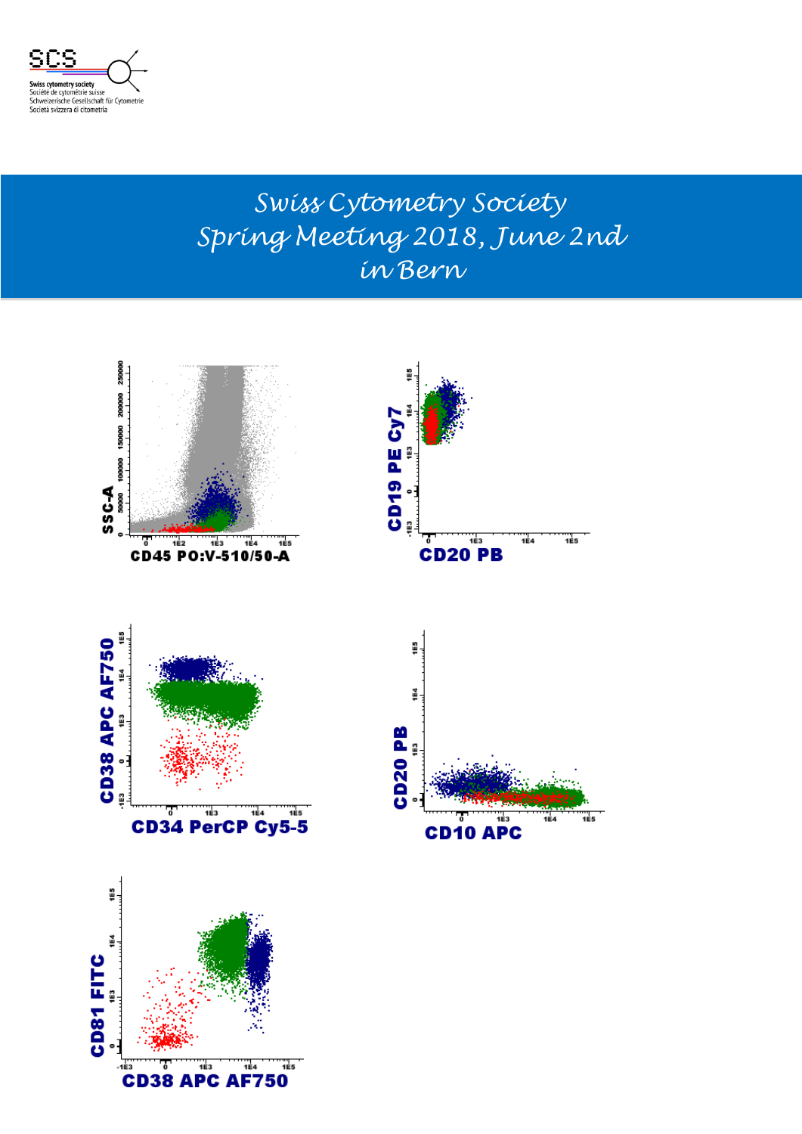

#### *Swiss Cytometry Society Spring Meeting 2018, June 2nd in Bern*

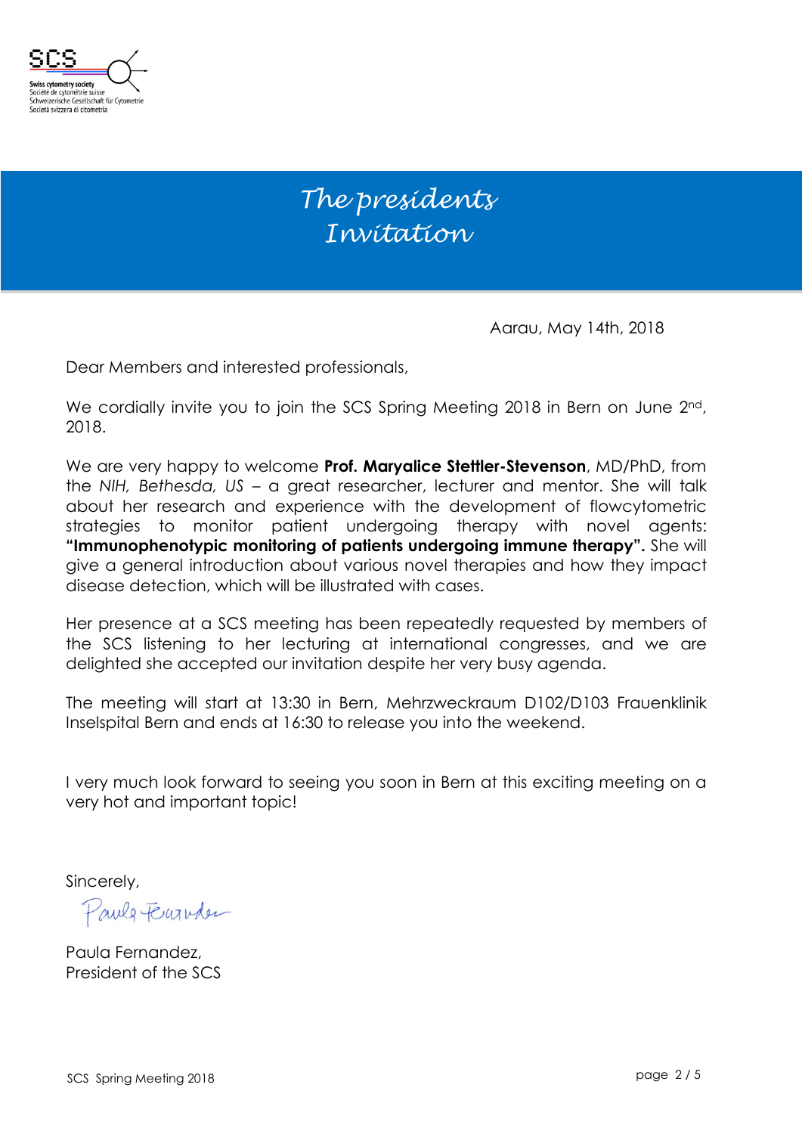

#### *The presidents Invitation*

Aarau, May 14th, 2018

Dear Members and interested professionals,

We cordially invite you to join the SCS Spring Meeting 2018 in Bern on June 2nd, 2018.

We are very happy to welcome **Prof. Maryalice Stettler-Stevenson**, MD/PhD, from the *NIH, Bethesda, US* – a great researcher, lecturer and mentor. She will talk about her research and experience with the development of flowcytometric strategies to monitor patient undergoing therapy with novel agents: **"Immunophenotypic monitoring of patients undergoing immune therapy".** She will give a general introduction about various novel therapies and how they impact disease detection, which will be illustrated with cases.

Her presence at a SCS meeting has been repeatedly requested by members of the SCS listening to her lecturing at international congresses, and we are delighted she accepted our invitation despite her very busy agenda.

The meeting will start at 13:30 in Bern, Mehrzweckraum D102/D103 Frauenklinik Inselspital Bern and ends at 16:30 to release you into the weekend.

I very much look forward to seeing you soon in Bern at this exciting meeting on a very hot and important topic!

Sincerely,

Pauls Ferry

Paula Fernandez, President of the SCS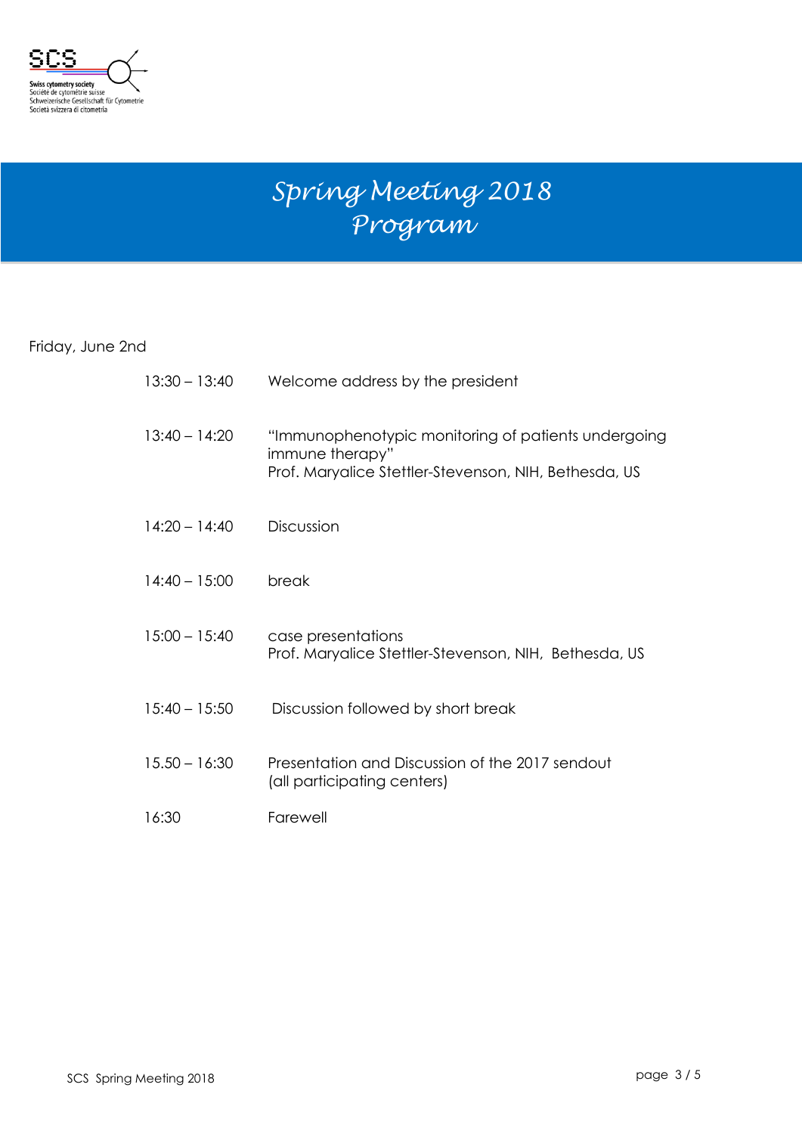

# *Spring Meeting 2018 Program*

Friday, June 2nd

| $13:30 - 13:40$ | Welcome address by the president                                                                                                |
|-----------------|---------------------------------------------------------------------------------------------------------------------------------|
| $13:40 - 14:20$ | "Immunophenotypic monitoring of patients undergoing<br>immune therapy"<br>Prof. Maryalice Stettler-Stevenson, NIH, Bethesda, US |
| $14:20 - 14:40$ | Discussion                                                                                                                      |
| $14:40 - 15:00$ | break                                                                                                                           |
| $15:00 - 15:40$ | case presentations<br>Prof. Maryalice Stettler-Stevenson, NIH, Bethesda, US                                                     |
| $15:40 - 15:50$ | Discussion followed by short break                                                                                              |
| $15.50 - 16:30$ | Presentation and Discussion of the 2017 sendout<br>(all participating centers)                                                  |
| 16:30           | Farewell                                                                                                                        |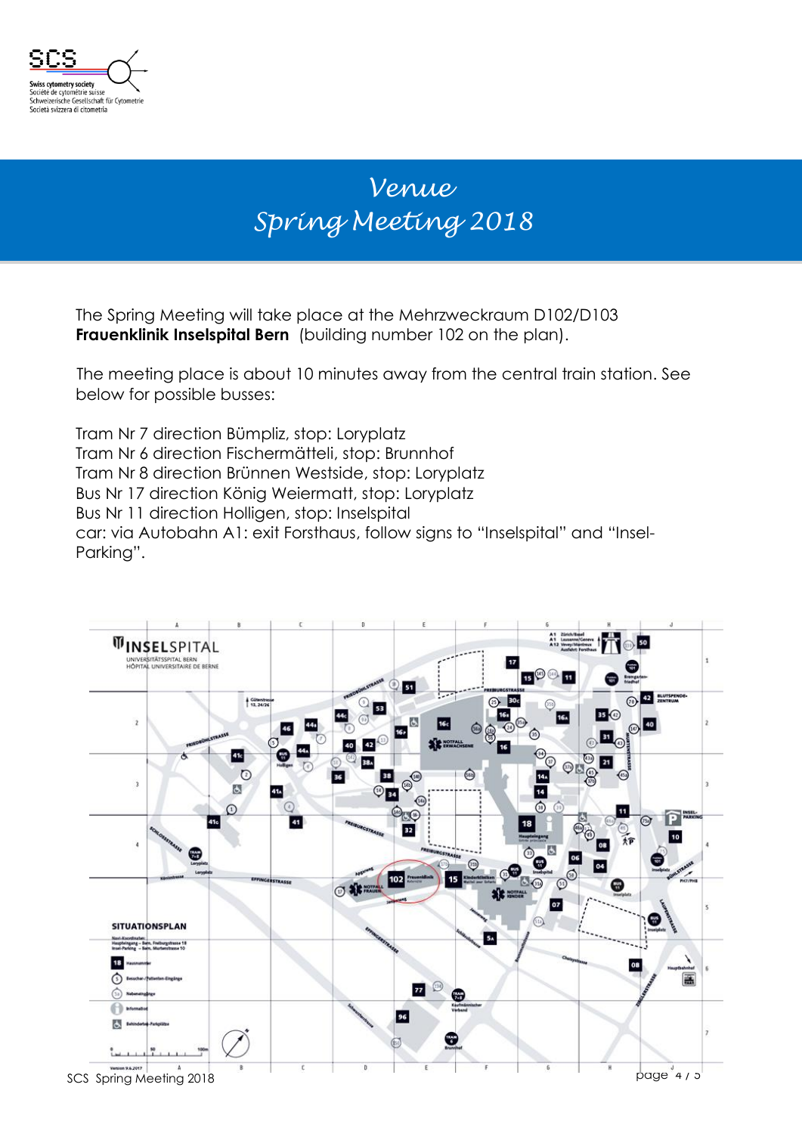

## *Venue Spring Meeting 2018*

The Spring Meeting will take place at the Mehrzweckraum D102/D103 **Frauenklinik Inselspital Bern** (building number 102 on the plan).

The meeting place is about 10 minutes away from the central train station. See below for possible busses:

Tram Nr 7 direction Bümpliz, stop: Loryplatz Tram Nr 6 direction Fischermätteli, stop: Brunnhof Tram Nr 8 direction Brünnen Westside, stop: Loryplatz Bus Nr 17 direction König Weiermatt, stop: Loryplatz Bus Nr 11 direction Holligen, stop: Inselspital car: via Autobahn A1: exit Forsthaus, follow signs to "Inselspital" and "Insel-Parking".